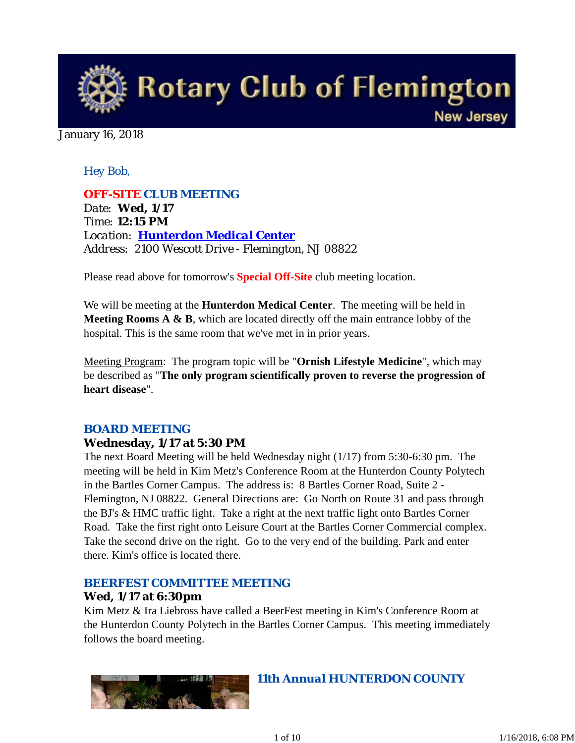

#### January 16, 2018

## *Hey Bob,*

*OFF-SITE CLUB MEETING Date: Wed, 1/17 Time: 12:15 PM Location: Hunterdon Medical Center Address: 2100 Wescott Drive - Flemington, NJ 08822*

Please read above for tomorrow's **Special Off-Site** club meeting location.

We will be meeting at the **Hunterdon Medical Center**. The meeting will be held in **Meeting Rooms A & B**, which are located directly off the main entrance lobby of the hospital. This is the same room that we've met in in prior years.

Meeting Program: The program topic will be "**Ornish Lifestyle Medicine**", which may be described as "**The only program scientifically proven to reverse the progression of heart disease**".

# *BOARD MEETING*

## **Wednesday, 1/17 at 5:30 PM**

The next Board Meeting will be held Wednesday night (1/17) from 5:30-6:30 pm. The meeting will be held in Kim Metz's Conference Room at the Hunterdon County Polytech in the Bartles Corner Campus. The address is: 8 Bartles Corner Road, Suite 2 - Flemington, NJ 08822. General Directions are: Go North on Route 31 and pass through the BJ's & HMC traffic light. Take a right at the next traffic light onto Bartles Corner Road. Take the first right onto Leisure Court at the Bartles Corner Commercial complex. Take the second drive on the right. Go to the very end of the building. Park and enter there. Kim's office is located there.

#### *BEERFEST COMMITTEE MEETING*

#### **Wed, 1/17 at 6:30pm**

Kim Metz & Ira Liebross have called a BeerFest meeting in Kim's Conference Room at the Hunterdon County Polytech in the Bartles Corner Campus. This meeting immediately follows the board meeting.



*11th Annual HUNTERDON COUNTY*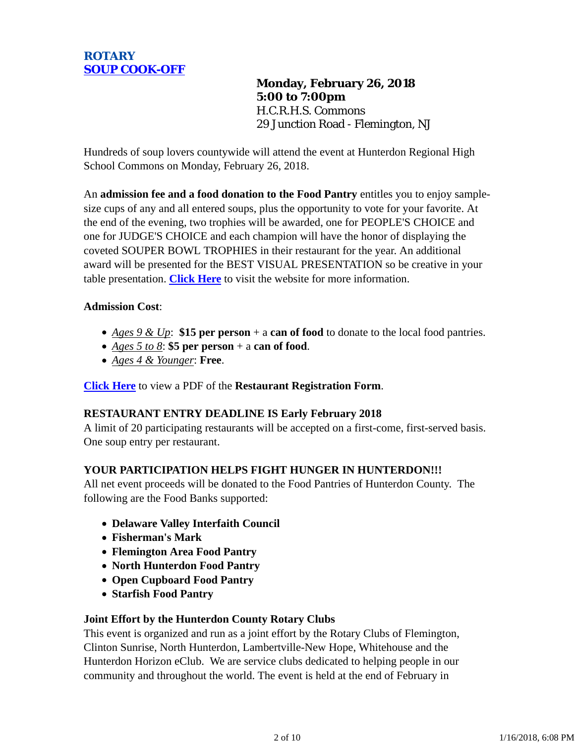

**Monday, February 26, 2018 5:00 to 7:00pm** H.C.R.H.S. Commons 29 Junction Road - Flemington, NJ

Hundreds of soup lovers countywide will attend the event at Hunterdon Regional High School Commons on Monday, February 26, 2018.

An **admission fee and a food donation to the Food Pantry** entitles you to enjoy samplesize cups of any and all entered soups, plus the opportunity to vote for your favorite. At the end of the evening, two trophies will be awarded, one for PEOPLE'S CHOICE and one for JUDGE'S CHOICE and each champion will have the honor of displaying the coveted SOUPER BOWL TROPHIES in their restaurant for the year. An additional award will be presented for the BEST VISUAL PRESENTATION so be creative in your table presentation. **Click Here** to visit the website for more information.

#### **Admission Cost**:

- *Ages 9 & Up*: **\$15 per person** + a **can of food** to donate to the local food pantries.
- *Ages 5 to 8*: **\$5 per person** + a **can of food**.
- *Ages 4 & Younger*: **Free**.

**Click Here** to view a PDF of the **Restaurant Registration Form**.

#### **RESTAURANT ENTRY DEADLINE IS Early February 2018**

A limit of 20 participating restaurants will be accepted on a first-come, first-served basis. One soup entry per restaurant.

#### **YOUR PARTICIPATION HELPS FIGHT HUNGER IN HUNTERDON!!!**

All net event proceeds will be donated to the Food Pantries of Hunterdon County. The following are the Food Banks supported:

- **Delaware Valley Interfaith Council**
- **Fisherman's Mark**
- **Flemington Area Food Pantry**
- **North Hunterdon Food Pantry**
- **Open Cupboard Food Pantry**
- **Starfish Food Pantry**

#### **Joint Effort by the Hunterdon County Rotary Clubs**

This event is organized and run as a joint effort by the Rotary Clubs of Flemington, Clinton Sunrise, North Hunterdon, Lambertville-New Hope, Whitehouse and the Hunterdon Horizon eClub. We are service clubs dedicated to helping people in our community and throughout the world. The event is held at the end of February in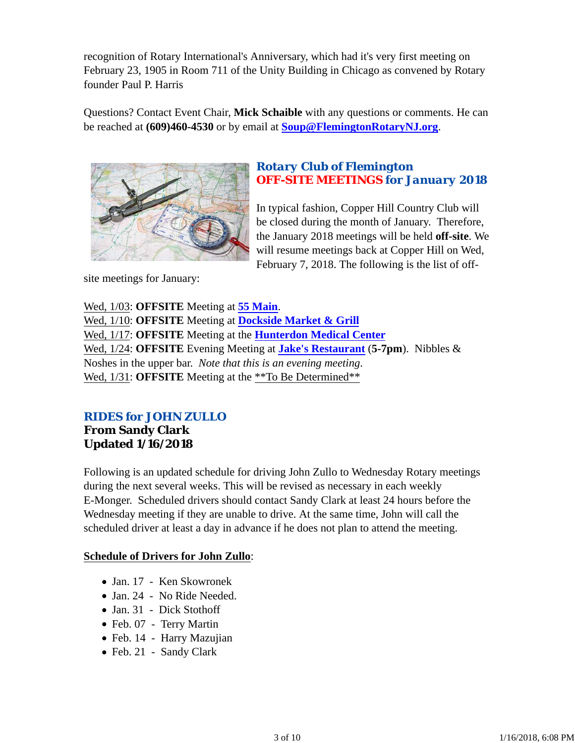recognition of Rotary International's Anniversary, which had it's very first meeting on February 23, 1905 in Room 711 of the Unity Building in Chicago as convened by Rotary founder Paul P. Harris

Questions? Contact Event Chair, **Mick Schaible** with any questions or comments. He can be reached at **(609)460-4530** or by email at **Soup@FlemingtonRotaryNJ.org**.



# *Rotary Club of Flemington OFF-SITE MEETINGS for January 2018*

In typical fashion, Copper Hill Country Club will be closed during the month of January. Therefore, the January 2018 meetings will be held **off-site**. We will resume meetings back at Copper Hill on Wed, February 7, 2018. The following is the list of off-

site meetings for January:

Wed, 1/03: **OFFSITE** Meeting at **55 Main**. Wed, 1/10: **OFFSITE** Meeting at **Dockside Market & Grill** Wed, 1/17: **OFFSITE** Meeting at the **Hunterdon Medical Center** Wed, 1/24: **OFFSITE** Evening Meeting at **Jake's Restaurant** (**5-7pm**). Nibbles & Noshes in the upper bar. *Note that this is an evening meeting*. Wed,  $1/31$ : **OFFSITE** Meeting at the \*\*To Be Determined\*\*

# *RIDES for JOHN ZULLO* **From Sandy Clark Updated 1/16/2018**

Following is an updated schedule for driving John Zullo to Wednesday Rotary meetings during the next several weeks. This will be revised as necessary in each weekly E-Monger. Scheduled drivers should contact Sandy Clark at least 24 hours before the Wednesday meeting if they are unable to drive. At the same time, John will call the scheduled driver at least a day in advance if he does not plan to attend the meeting.

# **Schedule of Drivers for John Zullo**:

- Jan. 17 Ken Skowronek
- Jan. 24 No Ride Needed.
- Jan. 31 Dick Stothoff
- Feb. 07 Terry Martin
- Feb. 14 Harry Mazujian
- Feb. 21 Sandy Clark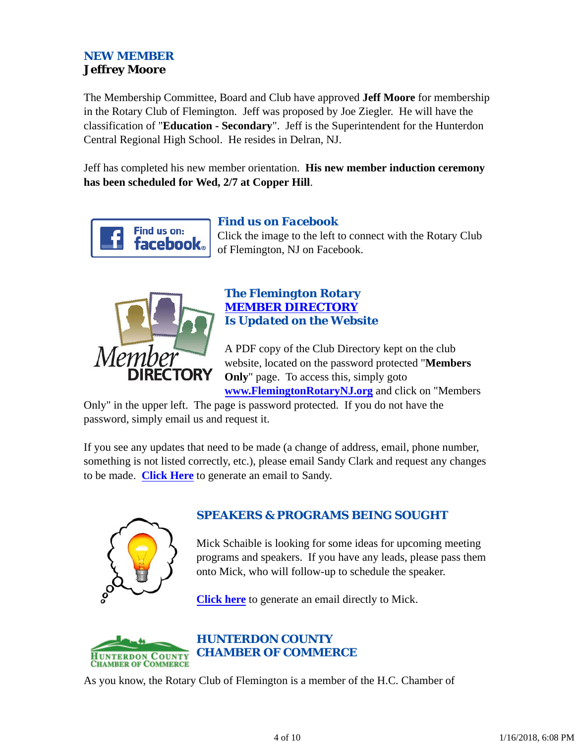# *NEW MEMBER* **Jeffrey Moore**

The Membership Committee, Board and Club have approved **Jeff Moore** for membership in the Rotary Club of Flemington. Jeff was proposed by Joe Ziegler. He will have the classification of "**Education - Secondary**". Jeff is the Superintendent for the Hunterdon Central Regional High School. He resides in Delran, NJ.

Jeff has completed his new member orientation. **His new member induction ceremony has been scheduled for Wed, 2/7 at Copper Hill**.



# *Find us on Facebook*

Click the image to the left to connect with the Rotary Club of Flemington, NJ on Facebook.



# *The Flemington Rotary MEMBER DIRECTORY Is Updated on the Website*

A PDF copy of the Club Directory kept on the club website, located on the password protected "**Members Only**" page. To access this, simply goto **www.FlemingtonRotaryNJ.org** and click on "Members

Only" in the upper left. The page is password protected. If you do not have the password, simply email us and request it.

If you see any updates that need to be made (a change of address, email, phone number, something is not listed correctly, etc.), please email Sandy Clark and request any changes to be made. **Click Here** to generate an email to Sandy.



# *SPEAKERS & PROGRAMS BEING SOUGHT*

Mick Schaible is looking for some ideas for upcoming meeting programs and speakers. If you have any leads, please pass them onto Mick, who will follow-up to schedule the speaker.

**Click here** to generate an email directly to Mick.



*HUNTERDON COUNTY CHAMBER OF COMMERCE*

As you know, the Rotary Club of Flemington is a member of the H.C. Chamber of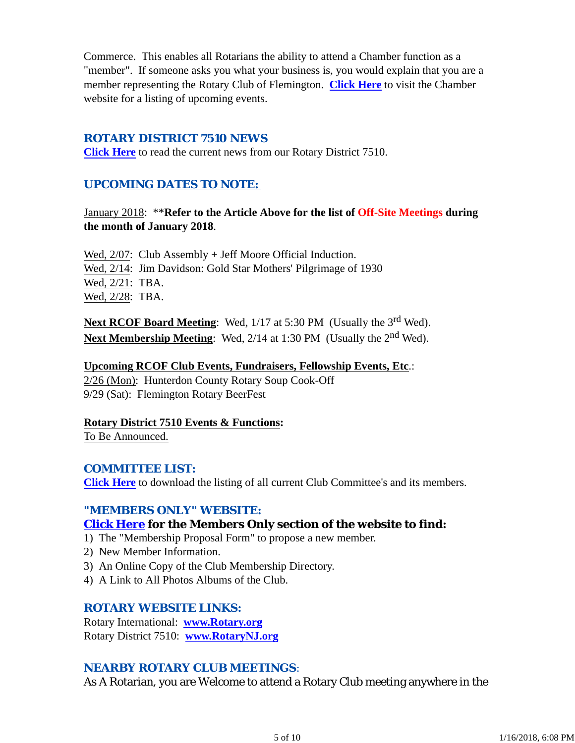Commerce. This enables all Rotarians the ability to attend a Chamber function as a "member". If someone asks you what your business is, you would explain that you are a member representing the Rotary Club of Flemington. **Click Here** to visit the Chamber website for a listing of upcoming events.

## *ROTARY DISTRICT 7510 NEWS*

**Click Here** to read the current news from our Rotary District 7510.

## *UPCOMING DATES TO NOTE:*

January 2018: \*\***Refer to the Article Above for the list of Off-Site Meetings during the month of January 2018**.

Wed,  $2/07$ : Club Assembly + Jeff Moore Official Induction. Wed, 2/14: Jim Davidson: Gold Star Mothers' Pilgrimage of 1930 Wed, 2/21: TBA. Wed, 2/28: TBA.

**Next RCOF Board Meeting:** Wed, 1/17 at 5:30 PM (Usually the 3<sup>rd</sup> Wed). **Next Membership Meeting:** Wed, 2/14 at 1:30 PM (Usually the 2<sup>nd</sup> Wed).

#### **Upcoming RCOF Club Events, Fundraisers, Fellowship Events, Etc**.:

2/26 (Mon): Hunterdon County Rotary Soup Cook-Off 9/29 (Sat): Flemington Rotary BeerFest

**Rotary District 7510 Events & Functions:**

To Be Announced.

## *COMMITTEE LIST:*

**Click Here** to download the listing of all current Club Committee's and its members.

## *"MEMBERS ONLY" WEBSITE:*

# **Click Here for the Members Only section of the website to find:**

1) The "Membership Proposal Form" to propose a new member.

- 2) New Member Information.
- 3) An Online Copy of the Club Membership Directory.
- 4) A Link to All Photos Albums of the Club.

## *ROTARY WEBSITE LINKS:*

Rotary International: **www.Rotary.org** Rotary District 7510: **www.RotaryNJ.org**

## *NEARBY ROTARY CLUB MEETINGS:*

As A Rotarian, you are Welcome to attend a Rotary Club meeting anywhere in the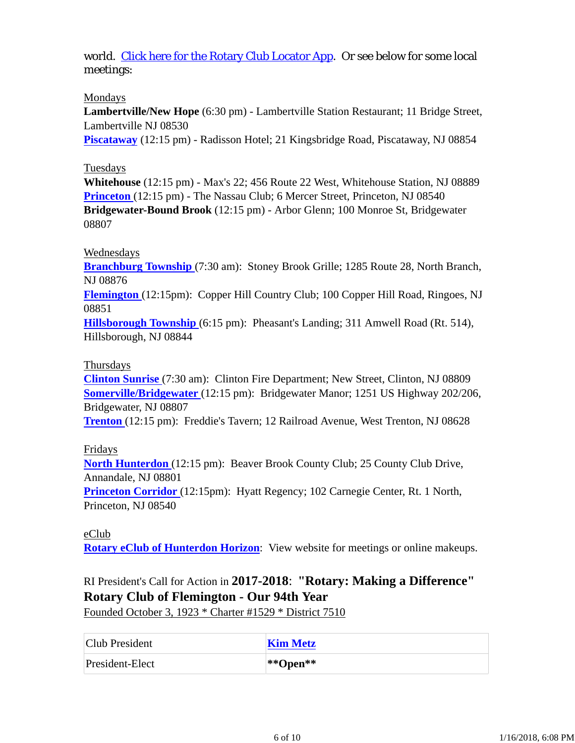world. Click here for the Rotary Club Locator App. Or see below for some local meetings:

## Mondays

**Lambertville/New Hope** (6:30 pm) - Lambertville Station Restaurant; 11 Bridge Street, Lambertville NJ 08530

**Piscataway** (12:15 pm) - Radisson Hotel; 21 Kingsbridge Road, Piscataway, NJ 08854

## Tuesdays

**Whitehouse** (12:15 pm) - Max's 22; 456 Route 22 West, Whitehouse Station, NJ 08889 **Princeton** (12:15 pm) - The Nassau Club; 6 Mercer Street, Princeton, NJ 08540 **Bridgewater-Bound Brook** (12:15 pm) - Arbor Glenn; 100 Monroe St, Bridgewater 08807

# Wednesdays

**Branchburg Township** (7:30 am): Stoney Brook Grille; 1285 Route 28, North Branch, NJ 08876

**Flemington** (12:15pm): Copper Hill Country Club; 100 Copper Hill Road, Ringoes, NJ 08851

**Hillsborough Township** (6:15 pm): Pheasant's Landing; 311 Amwell Road (Rt. 514), Hillsborough, NJ 08844

## Thursdays

**Clinton Sunrise** (7:30 am): Clinton Fire Department; New Street, Clinton, NJ 08809 **Somerville/Bridgewater** (12:15 pm): Bridgewater Manor; 1251 US Highway 202/206, Bridgewater, NJ 08807

**Trenton** (12:15 pm): Freddie's Tavern; 12 Railroad Avenue, West Trenton, NJ 08628

# Fridays

**North Hunterdon** (12:15 pm): Beaver Brook County Club; 25 County Club Drive, Annandale, NJ 08801

**Princeton Corridor** (12:15pm): Hyatt Regency; 102 Carnegie Center, Rt. 1 North, Princeton, NJ 08540

eClub **Rotary eClub of Hunterdon Horizon**: View website for meetings or online makeups.

# RI President's Call for Action in **2017-2018**: **"Rotary: Making a Difference" Rotary Club of Flemington - Our 94th Year**

Founded October 3, 1923 \* Charter #1529 \* District 7510

| Club President  | <b>Kim Metz</b> |
|-----------------|-----------------|
| President-Elect | $ **$ Open**    |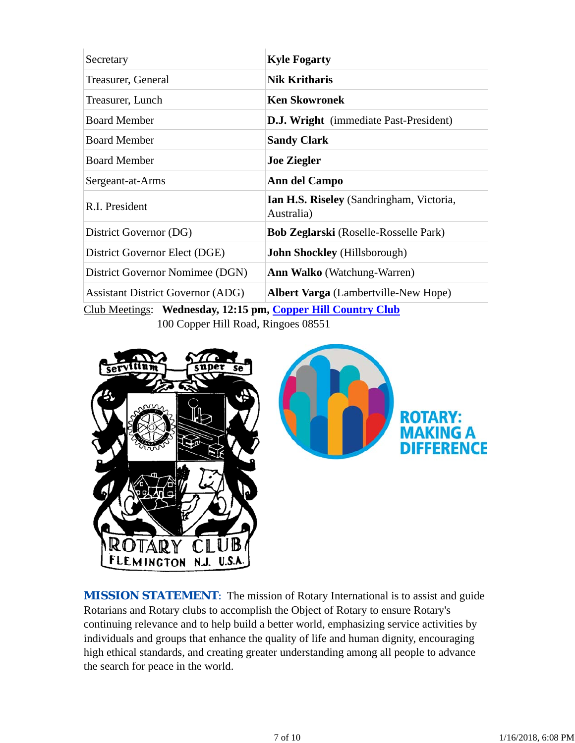| Secretary                                                    | <b>Kyle Fogarty</b>                                    |  |  |  |
|--------------------------------------------------------------|--------------------------------------------------------|--|--|--|
| Treasurer, General                                           | <b>Nik Kritharis</b>                                   |  |  |  |
| Treasurer, Lunch                                             | <b>Ken Skowronek</b>                                   |  |  |  |
| <b>Board Member</b>                                          | <b>D.J. Wright</b> (immediate Past-President)          |  |  |  |
| <b>Board Member</b>                                          | <b>Sandy Clark</b>                                     |  |  |  |
| <b>Board Member</b>                                          | <b>Joe Ziegler</b>                                     |  |  |  |
| Sergeant-at-Arms                                             | Ann del Campo                                          |  |  |  |
| R.I. President                                               | Ian H.S. Riseley (Sandringham, Victoria,<br>Australia) |  |  |  |
| District Governor (DG)                                       | <b>Bob Zeglarski</b> (Roselle-Rosselle Park)           |  |  |  |
| District Governor Elect (DGE)                                | <b>John Shockley</b> (Hillsborough)                    |  |  |  |
| District Governor Nomimee (DGN)                              | <b>Ann Walko</b> (Watchung-Warren)                     |  |  |  |
| <b>Assistant District Governor (ADG)</b>                     | <b>Albert Varga</b> (Lambertville-New Hope)            |  |  |  |
| Club Meetings: Wednesday, 12:15 pm, Copper Hill Country Club |                                                        |  |  |  |

100 Copper Hill Road, Ringoes 08551





**MISSION STATEMENT:** The mission of Rotary International is to assist and guide Rotarians and Rotary clubs to accomplish the Object of Rotary to ensure Rotary's continuing relevance and to help build a better world, emphasizing service activities by individuals and groups that enhance the quality of life and human dignity, encouraging high ethical standards, and creating greater understanding among all people to advance the search for peace in the world.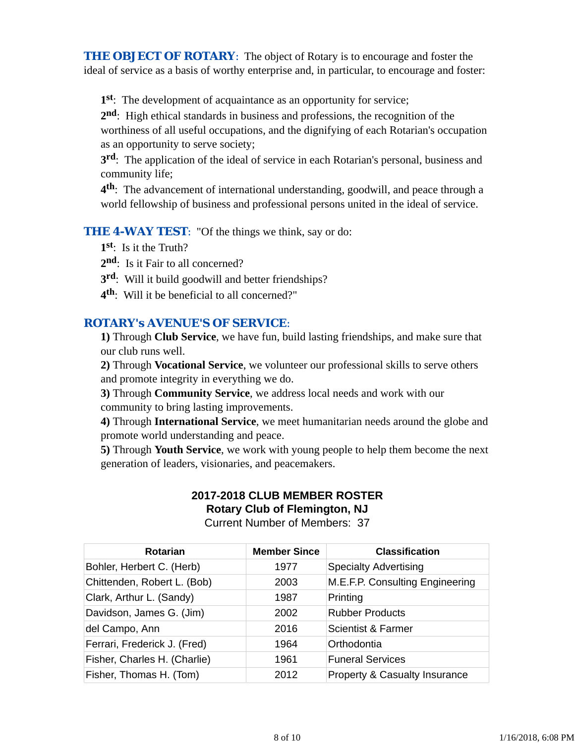**THE OBJECT OF ROTARY:** The object of Rotary is to encourage and foster the ideal of service as a basis of worthy enterprise and, in particular, to encourage and foster:

**1st**: The development of acquaintance as an opportunity for service;

**2nd**: High ethical standards in business and professions, the recognition of the worthiness of all useful occupations, and the dignifying of each Rotarian's occupation as an opportunity to serve society;

**3rd**: The application of the ideal of service in each Rotarian's personal, business and community life;

**4th**: The advancement of international understanding, goodwill, and peace through a world fellowship of business and professional persons united in the ideal of service.

**THE 4-WAY TEST:** "Of the things we think, say or do:

**1st**: Is it the Truth?

2<sup>nd</sup>: Is it Fair to all concerned?

**3rd**: Will it build goodwill and better friendships?

**4th**: Will it be beneficial to all concerned?"

## *ROTARY's AVENUE'S OF SERVICE*:

**1)** Through **Club Service**, we have fun, build lasting friendships, and make sure that our club runs well.

**2)** Through **Vocational Service**, we volunteer our professional skills to serve others and promote integrity in everything we do.

**3)** Through **Community Service**, we address local needs and work with our community to bring lasting improvements.

**4)** Through **International Service**, we meet humanitarian needs around the globe and promote world understanding and peace.

**5)** Through **Youth Service**, we work with young people to help them become the next generation of leaders, visionaries, and peacemakers.

#### **2017-2018 CLUB MEMBER ROSTER Rotary Club of Flemington, NJ**

| <b>Current Number of Members: 37</b> |  |
|--------------------------------------|--|
|--------------------------------------|--|

| <b>Rotarian</b>              | <b>Member Since</b> | <b>Classification</b>                    |
|------------------------------|---------------------|------------------------------------------|
| Bohler, Herbert C. (Herb)    | 1977                | <b>Specialty Advertising</b>             |
| Chittenden, Robert L. (Bob)  | 2003                | M.E.F.P. Consulting Engineering          |
| Clark, Arthur L. (Sandy)     | 1987                | Printing                                 |
| Davidson, James G. (Jim)     | 2002                | <b>Rubber Products</b>                   |
| del Campo, Ann               | 2016                | Scientist & Farmer                       |
| Ferrari, Frederick J. (Fred) | 1964                | Orthodontia                              |
| Fisher, Charles H. (Charlie) | 1961                | <b>Funeral Services</b>                  |
| Fisher, Thomas H. (Tom)      | 2012                | <b>Property &amp; Casualty Insurance</b> |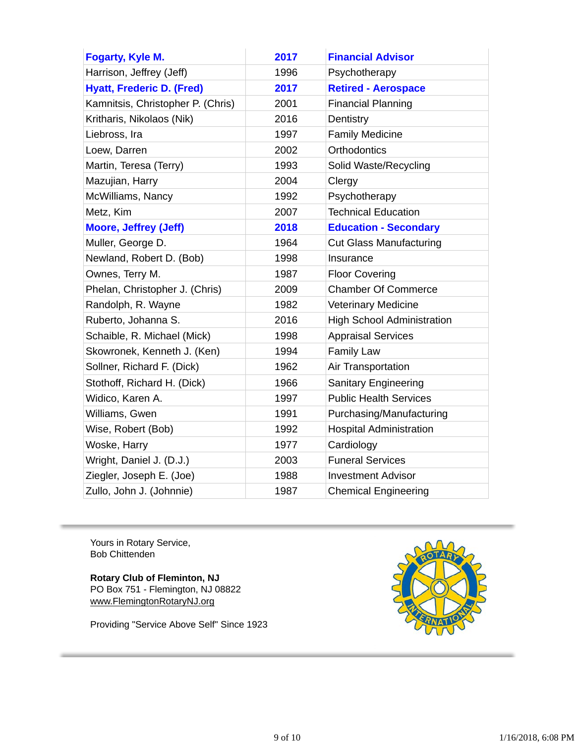| <b>Fogarty, Kyle M.</b>           | 2017 | <b>Financial Advisor</b>          |
|-----------------------------------|------|-----------------------------------|
| Harrison, Jeffrey (Jeff)          | 1996 | Psychotherapy                     |
| <b>Hyatt, Frederic D. (Fred)</b>  | 2017 | <b>Retired - Aerospace</b>        |
| Kamnitsis, Christopher P. (Chris) | 2001 | <b>Financial Planning</b>         |
| Kritharis, Nikolaos (Nik)         | 2016 | Dentistry                         |
| Liebross, Ira                     | 1997 | <b>Family Medicine</b>            |
| Loew, Darren                      | 2002 | Orthodontics                      |
| Martin, Teresa (Terry)            | 1993 | Solid Waste/Recycling             |
| Mazujian, Harry                   | 2004 | Clergy                            |
| McWilliams, Nancy                 | 1992 | Psychotherapy                     |
| Metz, Kim                         | 2007 | <b>Technical Education</b>        |
| <b>Moore, Jeffrey (Jeff)</b>      | 2018 | <b>Education - Secondary</b>      |
| Muller, George D.                 | 1964 | <b>Cut Glass Manufacturing</b>    |
| Newland, Robert D. (Bob)          | 1998 | Insurance                         |
| Ownes, Terry M.                   | 1987 | <b>Floor Covering</b>             |
| Phelan, Christopher J. (Chris)    | 2009 | <b>Chamber Of Commerce</b>        |
| Randolph, R. Wayne                | 1982 | Veterinary Medicine               |
| Ruberto, Johanna S.               | 2016 | <b>High School Administration</b> |
| Schaible, R. Michael (Mick)       | 1998 | <b>Appraisal Services</b>         |
| Skowronek, Kenneth J. (Ken)       | 1994 | <b>Family Law</b>                 |
| Sollner, Richard F. (Dick)        | 1962 | Air Transportation                |
| Stothoff, Richard H. (Dick)       | 1966 | <b>Sanitary Engineering</b>       |
| Widico, Karen A.                  | 1997 | <b>Public Health Services</b>     |
| Williams, Gwen                    | 1991 | Purchasing/Manufacturing          |
| Wise, Robert (Bob)                | 1992 | <b>Hospital Administration</b>    |
| Woske, Harry                      | 1977 | Cardiology                        |
| Wright, Daniel J. (D.J.)          | 2003 | <b>Funeral Services</b>           |
| Ziegler, Joseph E. (Joe)          | 1988 | <b>Investment Advisor</b>         |
| Zullo, John J. (Johnnie)          | 1987 | <b>Chemical Engineering</b>       |

Yours in Rotary Service, Bob Chittenden

**Rotary Club of Fleminton, NJ** PO Box 751 - Flemington, NJ 08822 www.FlemingtonRotaryNJ.org

Providing "Service Above Self" Since 1923